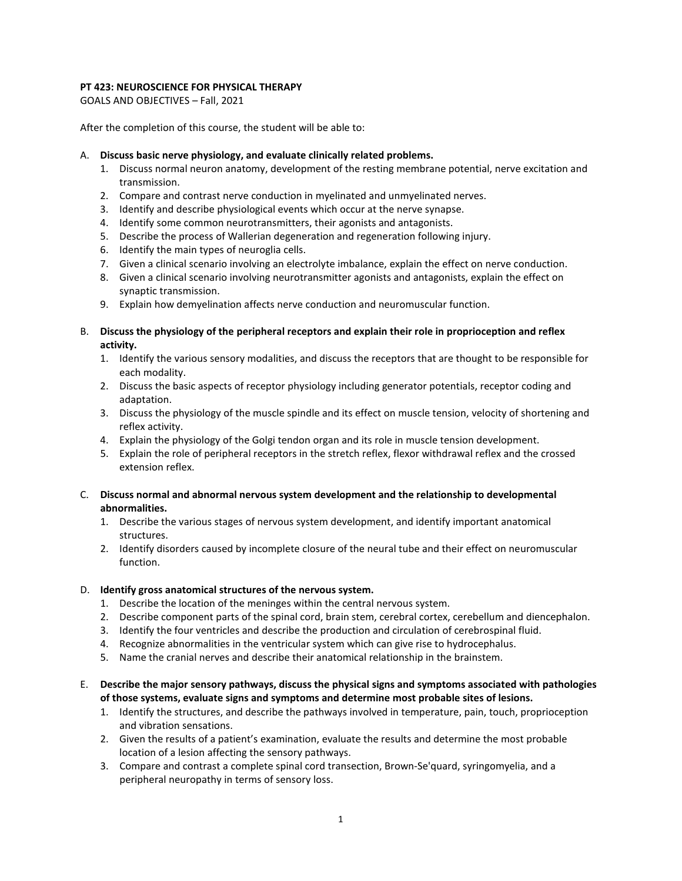# **PT 423: NEUROSCIENCE FOR PHYSICAL THERAPY**

GOALS AND OBJECTIVES – Fall, 2021

After the completion of this course, the student will be able to:

## A. **Discuss basic nerve physiology, and evaluate clinically related problems.**

- 1. Discuss normal neuron anatomy, development of the resting membrane potential, nerve excitation and transmission.
- 2. Compare and contrast nerve conduction in myelinated and unmyelinated nerves.
- 3. Identify and describe physiological events which occur at the nerve synapse.
- 4. Identify some common neurotransmitters, their agonists and antagonists.
- 5. Describe the process of Wallerian degeneration and regeneration following injury.
- 6. Identify the main types of neuroglia cells.
- 7. Given a clinical scenario involving an electrolyte imbalance, explain the effect on nerve conduction.
- 8. Given a clinical scenario involving neurotransmitter agonists and antagonists, explain the effect on synaptic transmission.
- 9. Explain how demyelination affects nerve conduction and neuromuscular function.
- B. **Discuss the physiology of the peripheral receptors and explain their role in proprioception and reflex activity.**
	- 1. Identify the various sensory modalities, and discuss the receptors that are thought to be responsible for each modality.
	- 2. Discuss the basic aspects of receptor physiology including generator potentials, receptor coding and adaptation.
	- 3. Discuss the physiology of the muscle spindle and its effect on muscle tension, velocity of shortening and reflex activity.
	- 4. Explain the physiology of the Golgi tendon organ and its role in muscle tension development.
	- 5. Explain the role of peripheral receptors in the stretch reflex, flexor withdrawal reflex and the crossed extension reflex.
- C. **Discuss normal and abnormal nervous system development and the relationship to developmental abnormalities.**
	- 1. Describe the various stages of nervous system development, and identify important anatomical structures.
	- 2. Identify disorders caused by incomplete closure of the neural tube and their effect on neuromuscular function.

## D. **Identify gross anatomical structures of the nervous system.**

- 1. Describe the location of the meninges within the central nervous system.
- 2. Describe component parts of the spinal cord, brain stem, cerebral cortex, cerebellum and diencephalon.
- 3. Identify the four ventricles and describe the production and circulation of cerebrospinal fluid.
- 4. Recognize abnormalities in the ventricular system which can give rise to hydrocephalus.
- 5. Name the cranial nerves and describe their anatomical relationship in the brainstem.
- E. **Describe the major sensory pathways, discuss the physical signs and symptoms associated with pathologies of those systems, evaluate signs and symptoms and determine most probable sites of lesions.**
	- 1. Identify the structures, and describe the pathways involved in temperature, pain, touch, proprioception and vibration sensations.
	- 2. Given the results of a patient's examination, evaluate the results and determine the most probable location of a lesion affecting the sensory pathways.
	- 3. Compare and contrast a complete spinal cord transection, Brown-Se'quard, syringomyelia, and a peripheral neuropathy in terms of sensory loss.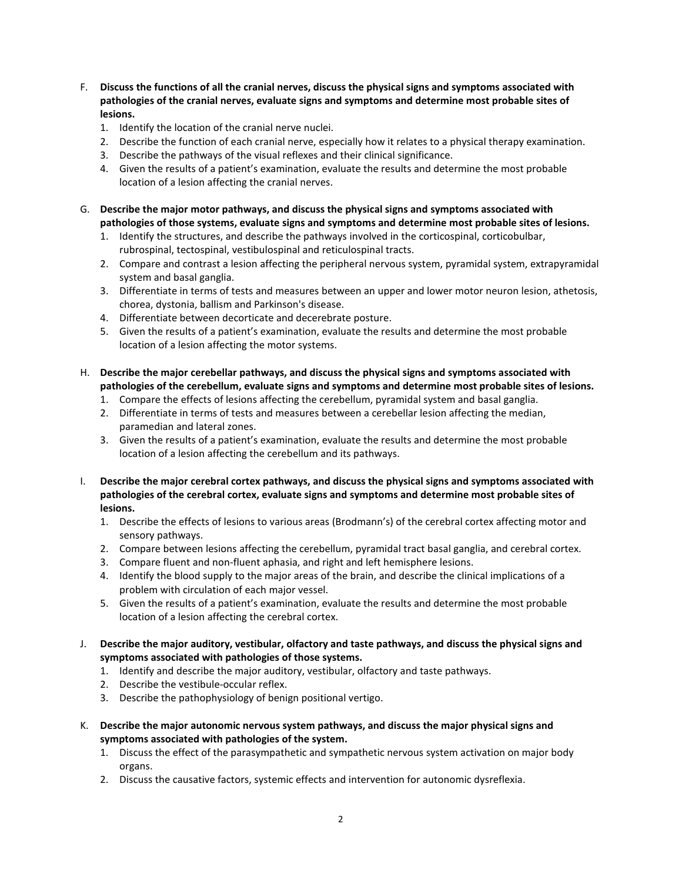- F. **Discuss the functions of all the cranial nerves, discuss the physical signs and symptoms associated with pathologies of the cranial nerves, evaluate signs and symptoms and determine most probable sites of lesions.**
	- 1. Identify the location of the cranial nerve nuclei.
	- 2. Describe the function of each cranial nerve, especially how it relates to a physical therapy examination.
	- 3. Describe the pathways of the visual reflexes and their clinical significance.
	- 4. Given the results of a patient's examination, evaluate the results and determine the most probable location of a lesion affecting the cranial nerves.
- G. **Describe the major motor pathways, and discuss the physical signs and symptoms associated with pathologies of those systems, evaluate signs and symptoms and determine most probable sites of lesions.**
	- 1. Identify the structures, and describe the pathways involved in the corticospinal, corticobulbar, rubrospinal, tectospinal, vestibulospinal and reticulospinal tracts.
	- 2. Compare and contrast a lesion affecting the peripheral nervous system, pyramidal system, extrapyramidal system and basal ganglia.
	- 3. Differentiate in terms of tests and measures between an upper and lower motor neuron lesion, athetosis, chorea, dystonia, ballism and Parkinson's disease.
	- 4. Differentiate between decorticate and decerebrate posture.
	- 5. Given the results of a patient's examination, evaluate the results and determine the most probable location of a lesion affecting the motor systems.
- H. **Describe the major cerebellar pathways, and discuss the physical signs and symptoms associated with pathologies of the cerebellum, evaluate signs and symptoms and determine most probable sites of lesions.**
	- 1. Compare the effects of lesions affecting the cerebellum, pyramidal system and basal ganglia.
	- 2. Differentiate in terms of tests and measures between a cerebellar lesion affecting the median, paramedian and lateral zones.
	- 3. Given the results of a patient's examination, evaluate the results and determine the most probable location of a lesion affecting the cerebellum and its pathways.
- I. **Describe the major cerebral cortex pathways, and discuss the physical signs and symptoms associated with pathologies of the cerebral cortex, evaluate signs and symptoms and determine most probable sites of lesions.**
	- 1. Describe the effects of lesions to various areas (Brodmann's) of the cerebral cortex affecting motor and sensory pathways.
	- 2. Compare between lesions affecting the cerebellum, pyramidal tract basal ganglia, and cerebral cortex.
	- 3. Compare fluent and non-fluent aphasia, and right and left hemisphere lesions.
	- 4. Identify the blood supply to the major areas of the brain, and describe the clinical implications of a problem with circulation of each major vessel.
	- 5. Given the results of a patient's examination, evaluate the results and determine the most probable location of a lesion affecting the cerebral cortex.
- J. **Describe the major auditory, vestibular, olfactory and taste pathways, and discuss the physical signs and symptoms associated with pathologies of those systems.**
	- 1. Identify and describe the major auditory, vestibular, olfactory and taste pathways.
	- 2. Describe the vestibule-occular reflex.
	- 3. Describe the pathophysiology of benign positional vertigo.
- K. **Describe the major autonomic nervous system pathways, and discuss the major physical signs and symptoms associated with pathologies of the system.**
	- 1. Discuss the effect of the parasympathetic and sympathetic nervous system activation on major body organs.
	- 2. Discuss the causative factors, systemic effects and intervention for autonomic dysreflexia.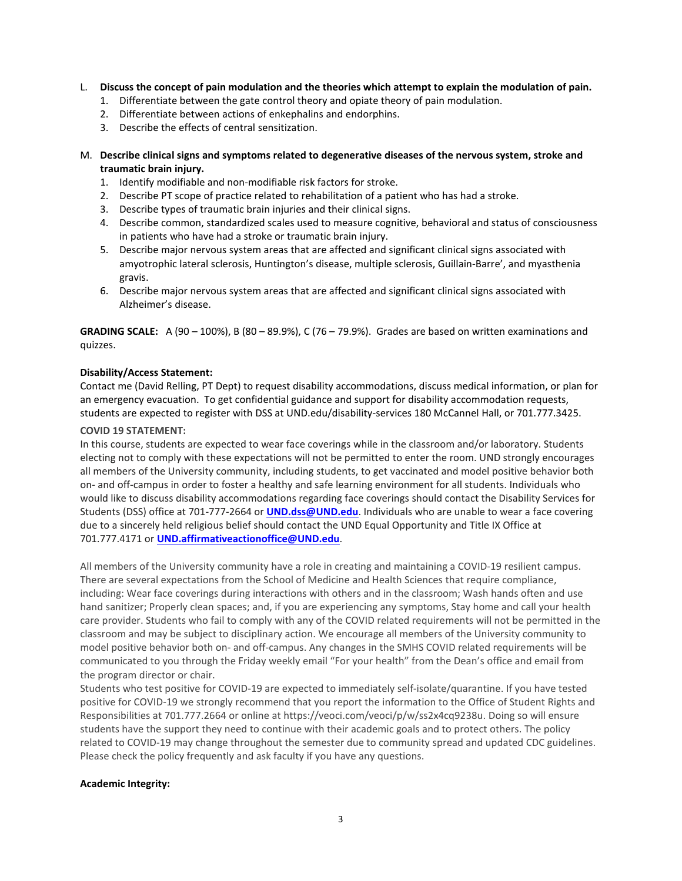# L. **Discuss the concept of pain modulation and the theories which attempt to explain the modulation of pain.**

- 1. Differentiate between the gate control theory and opiate theory of pain modulation.
- 2. Differentiate between actions of enkephalins and endorphins.
- 3. Describe the effects of central sensitization.

# M. **Describe clinical signs and symptoms related to degenerative diseases of the nervous system, stroke and traumatic brain injury.**

- 1. Identify modifiable and non-modifiable risk factors for stroke.
- 2. Describe PT scope of practice related to rehabilitation of a patient who has had a stroke.
- 3. Describe types of traumatic brain injuries and their clinical signs.
- 4. Describe common, standardized scales used to measure cognitive, behavioral and status of consciousness in patients who have had a stroke or traumatic brain injury.
- 5. Describe major nervous system areas that are affected and significant clinical signs associated with amyotrophic lateral sclerosis, Huntington's disease, multiple sclerosis, Guillain-Barre', and myasthenia gravis.
- 6. Describe major nervous system areas that are affected and significant clinical signs associated with Alzheimer's disease.

**GRADING SCALE:** A (90 – 100%), B (80 – 89.9%), C (76 – 79.9%). Grades are based on written examinations and quizzes.

## **Disability/Access Statement:**

Contact me (David Relling, PT Dept) to request disability accommodations, discuss medical information, or plan for an emergency evacuation. To get confidential guidance and support for disability accommodation requests, students are expected to register with DSS at UND.edu/disability-services 180 McCannel Hall, or 701.777.3425.

## **COVID 19 STATEMENT:**

In this course, students are expected to wear face coverings while in the classroom and/or laboratory. Students electing not to comply with these expectations will not be permitted to enter the room. UND strongly encourages all members of the University community, including students, to get vaccinated and model positive behavior both on- and off-campus in order to foster a healthy and safe learning environment for all students. Individuals who would like to discuss disability accommodations regarding face coverings should contact the Disability Services for Students (DSS) office at 701-777-2664 or **[UND.dss@UND.edu](mailto:UND.dss@UND.edu)**. Individuals who are unable to wear a face covering due to a sincerely held religious belief should contact the UND Equal Opportunity and Title IX Office at 701.777.4171 or **[UND.affirmativeactionoffice@UND.edu](mailto:UND.affirmativeactionoffice@UND.edu)**.

All members of the University community have a role in creating and maintaining a COVID-19 resilient campus. There are several expectations from the School of Medicine and Health Sciences that require compliance, including: Wear face coverings during interactions with others and in the classroom; Wash hands often and use hand sanitizer; Properly clean spaces; and, if you are experiencing any symptoms, Stay home and call your health care provider. Students who fail to comply with any of the COVID related requirements will not be permitted in the classroom and may be subject to disciplinary action. We encourage all members of the University community to model positive behavior both on- and off-campus. Any changes in the SMHS COVID related requirements will be communicated to you through the Friday weekly email "For your health" from the Dean's office and email from the program director or chair.

Students who test positive for COVID-19 are expected to immediately self-isolate/quarantine. If you have tested positive for COVID-19 we strongly recommend that you report the information to the Office of Student Rights and Responsibilities at 701.777.2664 or online at https://veoci.com/veoci/p/w/ss2x4cq9238u. Doing so will ensure students have the support they need to continue with their academic goals and to protect others. The policy related to COVID-19 may change throughout the semester due to community spread and updated CDC guidelines. Please check the policy frequently and ask faculty if you have any questions.

## **Academic Integrity:**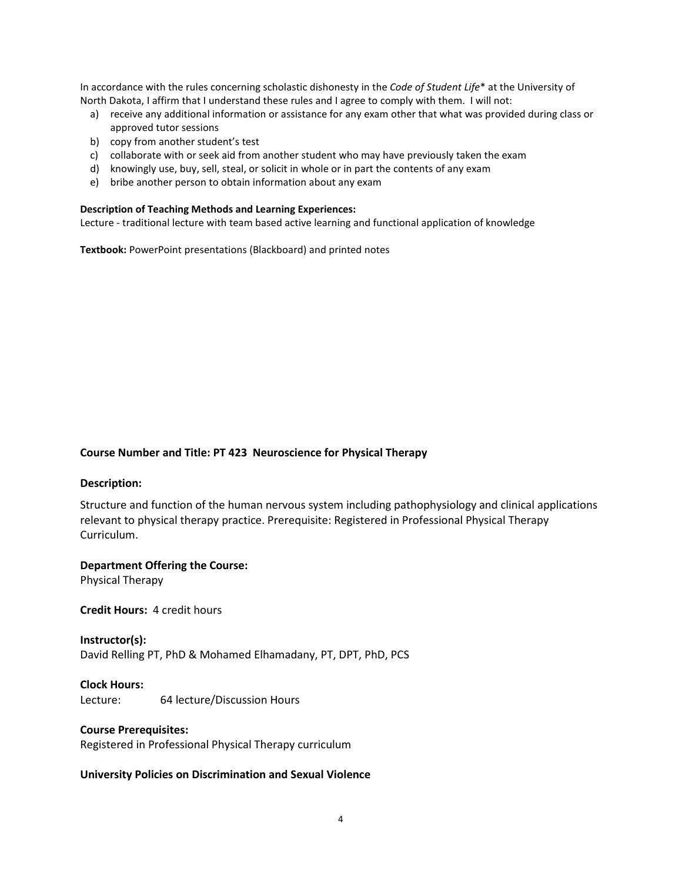In accordance with the rules concerning scholastic dishonesty in the *Code of Student Life*\* at the University of North Dakota, I affirm that I understand these rules and I agree to comply with them. I will not:

- a) receive any additional information or assistance for any exam other that what was provided during class or approved tutor sessions
- b) copy from another student's test
- c) collaborate with or seek aid from another student who may have previously taken the exam
- d) knowingly use, buy, sell, steal, or solicit in whole or in part the contents of any exam
- e) bribe another person to obtain information about any exam

# **Description of Teaching Methods and Learning Experiences:**

Lecture - traditional lecture with team based active learning and functional application of knowledge

**Textbook:** PowerPoint presentations (Blackboard) and printed notes

## **Course Number and Title: PT 423 Neuroscience for Physical Therapy**

## **Description:**

Structure and function of the human nervous system including pathophysiology and clinical applications relevant to physical therapy practice. Prerequisite: Registered in Professional Physical Therapy Curriculum.

## **Department Offering the Course:**

Physical Therapy

**Credit Hours:** 4 credit hours

**Instructor(s):** David Relling PT, PhD & Mohamed Elhamadany, PT, DPT, PhD, PCS

**Clock Hours:** Lecture: 64 lecture/Discussion Hours

# **Course Prerequisites:**

Registered in Professional Physical Therapy curriculum

## **University Policies on Discrimination and Sexual Violence**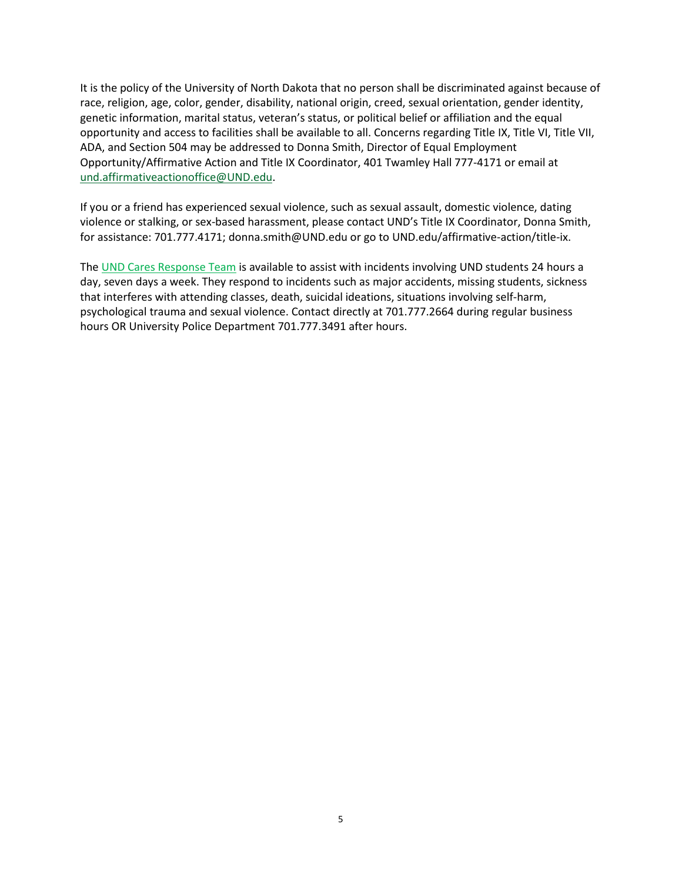It is the policy of the University of North Dakota that no person shall be discriminated against because of race, religion, age, color, gender, disability, national origin, creed, sexual orientation, gender identity, genetic information, marital status, veteran's status, or political belief or affiliation and the equal opportunity and access to facilities shall be available to all. Concerns regarding Title IX, Title VI, Title VII, ADA, and Section 504 may be addressed to Donna Smith, Director of Equal Employment Opportunity/Affirmative Action and Title IX Coordinator, 401 Twamley Hall 777-4171 or email at [und.affirmativeactionoffice@UND.edu.](mailto:und.affirmativeactionoffice@UND.edu)

If you or a friend has experienced sexual violence, such as sexual assault, domestic violence, dating violence or stalking, or sex-based harassment, please contact UND's Title IX Coordinator, Donna Smith, for assistance: 701.777.4171; donna.smith@UND.edu or go to UND.edu/affirmative-action/title-ix.

The [UND Cares Response Team](http://und.edu/student-affairs/student-rights-responsibilities/care-team.cfm) is available to assist with incidents involving UND students 24 hours a day, seven days a week. They respond to incidents such as major accidents, missing students, sickness that interferes with attending classes, death, suicidal ideations, situations involving self-harm, psychological trauma and sexual violence. Contact directly at 701.777.2664 during regular business hours OR University Police Department 701.777.3491 after hours.